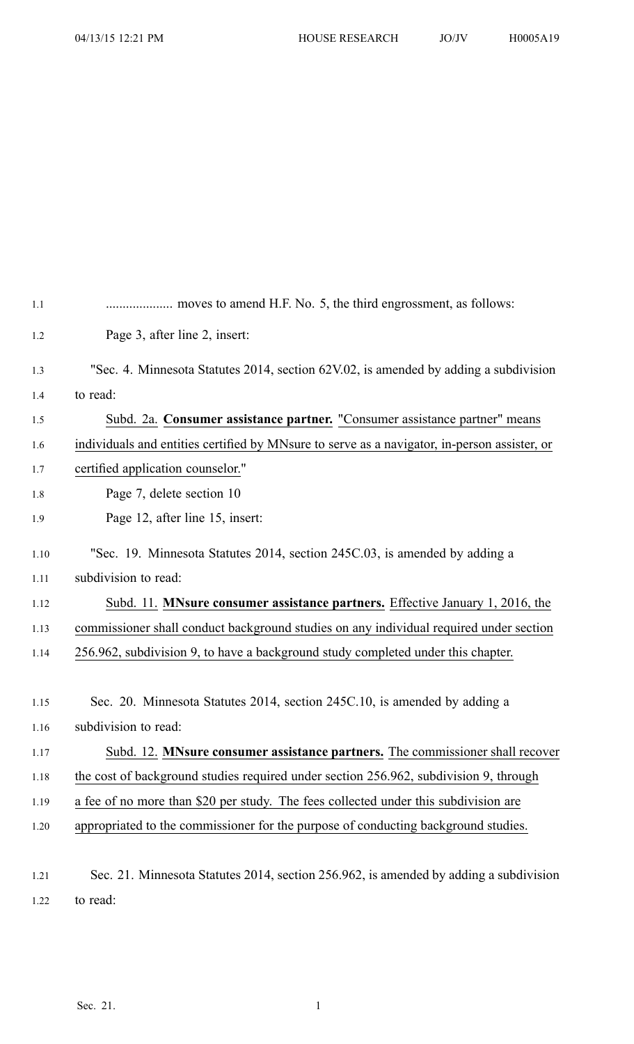| 1.1  |                                                                                              |
|------|----------------------------------------------------------------------------------------------|
| 1.2  | Page 3, after line 2, insert:                                                                |
| 1.3  | "Sec. 4. Minnesota Statutes 2014, section 62V.02, is amended by adding a subdivision         |
| 1.4  | to read:                                                                                     |
| 1.5  | Subd. 2a. Consumer assistance partner. "Consumer assistance partner" means                   |
| 1.6  | individuals and entities certified by MNsure to serve as a navigator, in-person assister, or |
| 1.7  | certified application counselor."                                                            |
| 1.8  | Page 7, delete section 10                                                                    |
| 1.9  | Page 12, after line 15, insert:                                                              |
| 1.10 | "Sec. 19. Minnesota Statutes 2014, section 245C.03, is amended by adding a                   |
| 1.11 | subdivision to read:                                                                         |
| 1.12 | Subd. 11. MNsure consumer assistance partners. Effective January 1, 2016, the                |
| 1.13 | commissioner shall conduct background studies on any individual required under section       |
| 1.14 | 256.962, subdivision 9, to have a background study completed under this chapter.             |
|      |                                                                                              |
| 1.15 | Sec. 20. Minnesota Statutes 2014, section 245C.10, is amended by adding a                    |
| 1.16 | subdivision to read:                                                                         |
| 1.17 | Subd. 12. MNsure consumer assistance partners. The commissioner shall recover                |
| 1.18 | the cost of background studies required under section 256.962, subdivision 9, through        |
| 1.19 | a fee of no more than \$20 per study. The fees collected under this subdivision are          |
| 1.20 | appropriated to the commissioner for the purpose of conducting background studies.           |
|      |                                                                                              |
| 1.21 | Sec. 21. Minnesota Statutes 2014, section 256.962, is amended by adding a subdivision        |
| 1.22 | to read:                                                                                     |